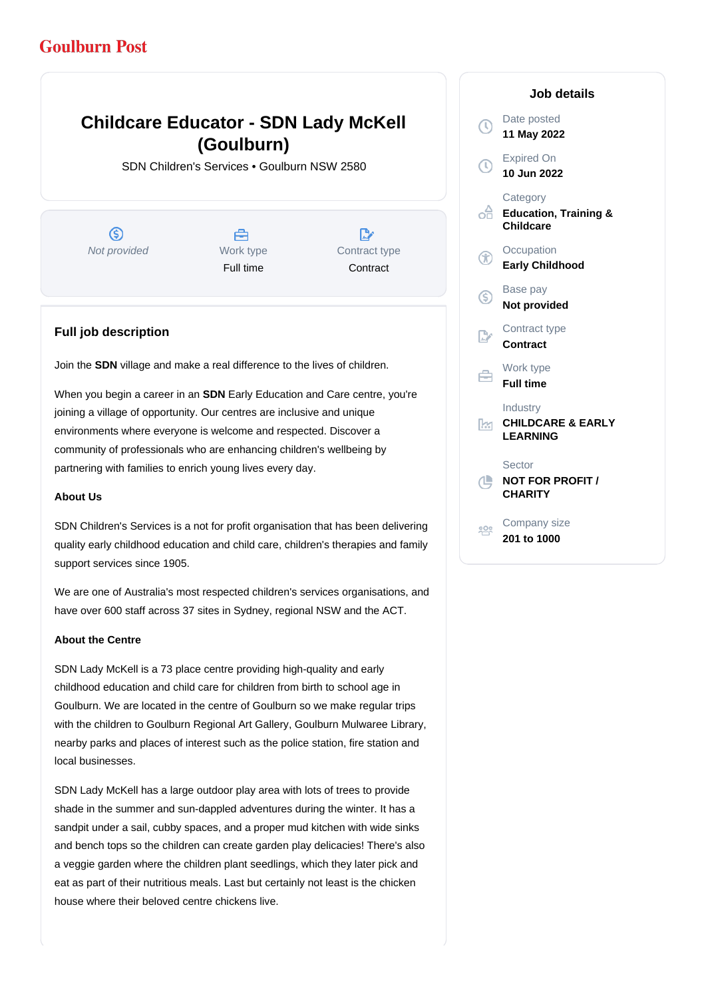## **Goulburn Post**

# **Childcare Educator - SDN Lady McKell (Goulburn)**

SDN Children's Services • Goulburn NSW 2580

൫ Not provided Work type

A Full time

D, Contract type **Contract** 

### **Full job description**

Join the **SDN** village and make a real difference to the lives of children.

When you begin a career in an **SDN** Early Education and Care centre, you're joining a village of opportunity. Our centres are inclusive and unique environments where everyone is welcome and respected. Discover a community of professionals who are enhancing children's wellbeing by partnering with families to enrich young lives every day.

### **About Us**

SDN Children's Services is a not for profit organisation that has been delivering quality early childhood education and child care, children's therapies and family support services since 1905.

We are one of Australia's most respected children's services organisations, and have over 600 staff across 37 sites in Sydney, regional NSW and the ACT.

### **About the Centre**

SDN Lady McKell is a 73 place centre providing high-quality and early childhood education and child care for children from birth to school age in Goulburn. We are located in the centre of Goulburn so we make regular trips with the children to Goulburn Regional Art Gallery, Goulburn Mulwaree Library, nearby parks and places of interest such as the police station, fire station and local businesses.

SDN Lady McKell has a large outdoor play area with lots of trees to provide shade in the summer and sun-dappled adventures during the winter. It has a sandpit under a sail, cubby spaces, and a proper mud kitchen with wide sinks and bench tops so the children can create garden play delicacies! There's also a veggie garden where the children plant seedlings, which they later pick and eat as part of their nutritious meals. Last but certainly not least is the chicken house where their beloved centre chickens live.

### Date posted  $\Omega$ **11 May 2022** Expired On **10 Jun 2022 Category** ofi **Education, Training & Childcare Occupation Early Childhood** Base pay (S) **Not provided** Contract type **Contract** Work type **Full time** Industry **CHILDCARE & EARLY Than LEARNING Sector NOT FOR PROFIT / CHARITY** Company size 808 **201 to 1000**

**Job details**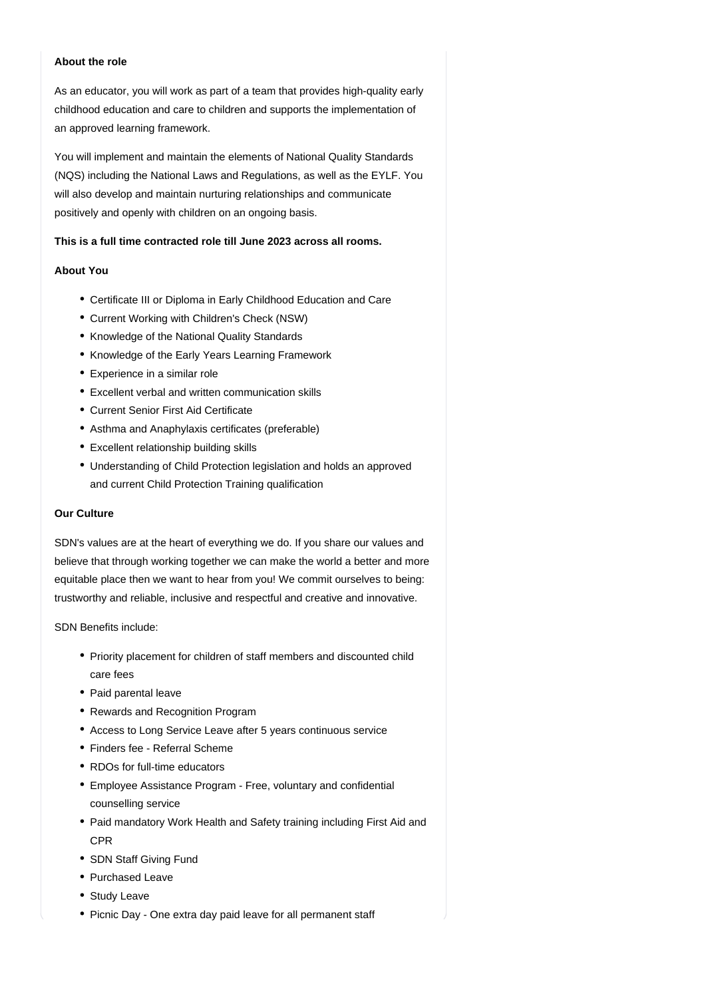### **About the role**

As an educator, you will work as part of a team that provides high-quality early childhood education and care to children and supports the implementation of an approved learning framework.

You will implement and maintain the elements of National Quality Standards (NQS) including the National Laws and Regulations, as well as the EYLF. You will also develop and maintain nurturing relationships and communicate positively and openly with children on an ongoing basis.

### **This is a full time contracted role till June 2023 across all rooms.**

#### **About You**

- Certificate III or Diploma in Early Childhood Education and Care
- Current Working with Children's Check (NSW)
- Knowledge of the National Quality Standards
- Knowledge of the Early Years Learning Framework
- Experience in a similar role
- Excellent verbal and written communication skills
- Current Senior First Aid Certificate
- Asthma and Anaphylaxis certificates (preferable)
- Excellent relationship building skills
- Understanding of Child Protection legislation and holds an approved and current Child Protection Training qualification

### **Our Culture**

SDN's values are at the heart of everything we do. If you share our values and believe that through working together we can make the world a better and more equitable place then we want to hear from you! We commit ourselves to being: trustworthy and reliable, inclusive and respectful and creative and innovative.

SDN Benefits include:

- Priority placement for children of staff members and discounted child care fees
- Paid parental leave
- Rewards and Recognition Program
- Access to Long Service Leave after 5 years continuous service
- Finders fee Referral Scheme
- RDOs for full-time educators
- Employee Assistance Program Free, voluntary and confidential counselling service
- Paid mandatory Work Health and Safety training including First Aid and CPR
- SDN Staff Giving Fund
- Purchased Leave
- Study Leave
- Picnic Day One extra day paid leave for all permanent staff